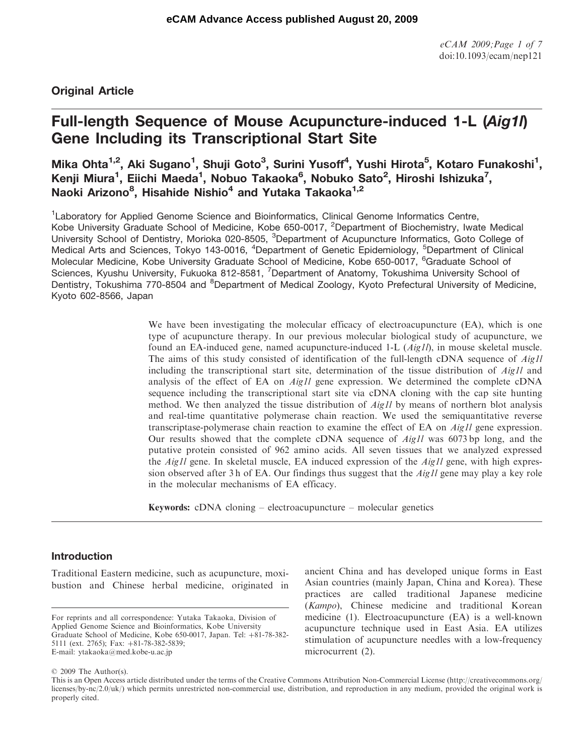# Original Article

# Full-length Sequence of Mouse Acupuncture-induced 1-L (Aig1l) Gene Including its Transcriptional Start Site

# Mika Ohta<sup>1,2</sup>, Aki Sugano<sup>1</sup>, Shuji Goto<sup>3</sup>, Surini Yusoff<sup>4</sup>, Yushi Hirota<sup>5</sup>, Kotaro Funakoshi<sup>1</sup>, Kenji Miura<sup>1</sup>, Eiichi Maeda<sup>1</sup>, Nobuo Takaoka<sup>6</sup>, Nobuko Sato<sup>2</sup>, Hiroshi Ishizuka<sup>7</sup>, Naoki Arizono<sup>8</sup>, Hisahide Nishio<sup>4</sup> and Yutaka Takaoka<sup>1,2</sup>

<sup>1</sup> Laboratory for Applied Genome Science and Bioinformatics, Clinical Genome Informatics Centre, Kobe University Graduate School of Medicine, Kobe 650-0017, <sup>2</sup>Department of Biochemistry, Iwate Medical University School of Dentistry, Morioka 020-8505, <sup>3</sup>Department of Acupuncture Informatics, Goto College of Medical Arts and Sciences, Tokyo 143-0016, <sup>4</sup>Department of Genetic Epidemiology, <sup>5</sup>Department of Clinical Molecular Medicine, Kobe University Graduate School of Medicine, Kobe 650-0017, <sup>6</sup>Graduate School of Sciences, Kyushu University, Fukuoka 812-8581, <sup>7</sup>Department of Anatomy, Tokushima University School of Dentistry, Tokushima 770-8504 and <sup>8</sup>Department of Medical Zoology, Kyoto Prefectural University of Medicine, Kyoto 602-8566, Japan

> We have been investigating the molecular efficacy of electroacupuncture (EA), which is one type of acupuncture therapy. In our previous molecular biological study of acupuncture, we found an EA-induced gene, named acupuncture-induced 1-L  $(Aig1l)$ , in mouse skeletal muscle. The aims of this study consisted of identification of the full-length cDNA sequence of *Aig1l* including the transcriptional start site, determination of the tissue distribution of Aig1l and analysis of the effect of EA on Aig1l gene expression. We determined the complete cDNA sequence including the transcriptional start site via cDNA cloning with the cap site hunting method. We then analyzed the tissue distribution of  $Aig1l$  by means of northern blot analysis and real-time quantitative polymerase chain reaction. We used the semiquantitative reverse transcriptase-polymerase chain reaction to examine the effect of EA on Aig1l gene expression. Our results showed that the complete cDNA sequence of Aig1l was 6073 bp long, and the putative protein consisted of 962 amino acids. All seven tissues that we analyzed expressed the  $Aig1l$  gene. In skeletal muscle, EA induced expression of the  $Aig1l$  gene, with high expression observed after 3 h of EA. Our findings thus suggest that the  $Aig1l$  gene may play a key role in the molecular mechanisms of EA efficacy.

Keywords: cDNA cloning – electroacupuncture – molecular genetics

# Introduction

Traditional Eastern medicine, such as acupuncture, moxibustion and Chinese herbal medicine, originated in ancient China and has developed unique forms in East Asian countries (mainly Japan, China and Korea). These practices are called traditional Japanese medicine (Kampo), Chinese medicine and traditional Korean medicine (1). Electroacupuncture (EA) is a well-known acupuncture technique used in East Asia. EA utilizes stimulation of acupuncture needles with a low-frequency microcurrent (2).

#### © 2009 The Author(s).

For reprints and all correspondence: Yutaka Takaoka, Division of Applied Genome Science and Bioinformatics, Kobe University Graduate School of Medicine, Kobe 650-0017, Japan. Tel:  $+81-78-382-$ 5111 (ext. 2765); Fax: +81-78-382-5839; E-mail: ytakaoka@med.kobe-u.ac.jp

This is an Open Access article distributed under the terms of the Creative Commons Attribution Non-Commercial License (<http://creativecommons.org/> licenses/by-nc/2.0/uk/) which permits unrestricted non-commercial use, distribution, and reproduction in any medium, provided the original work is properly cited.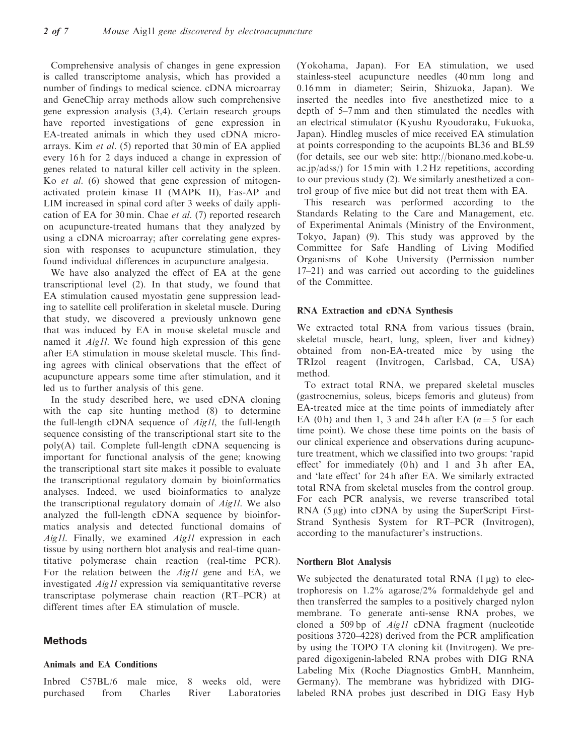Comprehensive analysis of changes in gene expression is called transcriptome analysis, which has provided a number of findings to medical science. cDNA microarray and GeneChip array methods allow such comprehensive gene expression analysis (3,4). Certain research groups have reported investigations of gene expression in EA-treated animals in which they used cDNA microarrays. Kim et al. (5) reported that 30 min of EA applied every 16 h for 2 days induced a change in expression of genes related to natural killer cell activity in the spleen. Ko et al. (6) showed that gene expression of mitogenactivated protein kinase II (MAPK II), Fas-AP and LIM increased in spinal cord after 3 weeks of daily application of EA for 30 min. Chae et al. (7) reported research on acupuncture-treated humans that they analyzed by using a cDNA microarray; after correlating gene expression with responses to acupuncture stimulation, they found individual differences in acupuncture analgesia.

We have also analyzed the effect of EA at the gene transcriptional level (2). In that study, we found that EA stimulation caused myostatin gene suppression leading to satellite cell proliferation in skeletal muscle. During that study, we discovered a previously unknown gene that was induced by EA in mouse skeletal muscle and named it *Aig1l*. We found high expression of this gene after EA stimulation in mouse skeletal muscle. This finding agrees with clinical observations that the effect of acupuncture appears some time after stimulation, and it led us to further analysis of this gene.

In the study described here, we used cDNA cloning with the cap site hunting method (8) to determine the full-length cDNA sequence of Aig1l, the full-length sequence consisting of the transcriptional start site to the poly(A) tail. Complete full-length cDNA sequencing is important for functional analysis of the gene; knowing the transcriptional start site makes it possible to evaluate the transcriptional regulatory domain by bioinformatics analyses. Indeed, we used bioinformatics to analyze the transcriptional regulatory domain of Aig1l. We also analyzed the full-length cDNA sequence by bioinformatics analysis and detected functional domains of Aig1l. Finally, we examined Aig1l expression in each tissue by using northern blot analysis and real-time quantitative polymerase chain reaction (real-time PCR). For the relation between the Aig1l gene and EA, we investigated Aig1l expression via semiquantitative reverse transcriptase polymerase chain reaction (RT–PCR) at different times after EA stimulation of muscle.

# Methods

#### Animals and EA Conditions

Inbred C57BL/6 male mice, 8 weeks old, were purchased from Charles River Laboratories (Yokohama, Japan). For EA stimulation, we used stainless-steel acupuncture needles (40 mm long and 0.16 mm in diameter; Seirin, Shizuoka, Japan). We inserted the needles into five anesthetized mice to a depth of 5–7 mm and then stimulated the needles with an electrical stimulator (Kyushu Ryoudoraku, Fukuoka, Japan). Hindleg muscles of mice received EA stimulation at points corresponding to the acupoints BL36 and BL59 (for details, see our web site: [http://bionano.med.kobe-u.](http://bionano.med.kobe-u) ac.jp/adss/) for 15 min with 1.2 Hz repetitions, according to our previous study (2). We similarly anesthetized a control group of five mice but did not treat them with EA.

This research was performed according to the Standards Relating to the Care and Management, etc. of Experimental Animals (Ministry of the Environment, Tokyo, Japan) (9). This study was approved by the Committee for Safe Handling of Living Modified Organisms of Kobe University (Permission number 17–21) and was carried out according to the guidelines of the Committee.

#### RNA Extraction and cDNA Synthesis

We extracted total RNA from various tissues (brain, skeletal muscle, heart, lung, spleen, liver and kidney) obtained from non-EA-treated mice by using the TRIzol reagent (Invitrogen, Carlsbad, CA, USA) method.

To extract total RNA, we prepared skeletal muscles (gastrocnemius, soleus, biceps femoris and gluteus) from EA-treated mice at the time points of immediately after EA (0 h) and then 1, 3 and 24 h after EA  $(n=5$  for each time point). We chose these time points on the basis of our clinical experience and observations during acupuncture treatment, which we classified into two groups: 'rapid effect' for immediately (0 h) and 1 and 3 h after EA, and 'late effect' for 24 h after EA. We similarly extracted total RNA from skeletal muscles from the control group. For each PCR analysis, we reverse transcribed total RNA  $(5 \mu g)$  into cDNA by using the SuperScript First-Strand Synthesis System for RT–PCR (Invitrogen), according to the manufacturer's instructions.

#### Northern Blot Analysis

We subjected the denaturated total RNA  $(1 \mu g)$  to electrophoresis on 1.2% agarose/2% formaldehyde gel and then transferred the samples to a positively charged nylon membrane. To generate anti-sense RNA probes, we cloned a 509 bp of Aig1l cDNA fragment (nucleotide positions 3720–4228) derived from the PCR amplification by using the TOPO TA cloning kit (Invitrogen). We prepared digoxigenin-labeled RNA probes with DIG RNA Labeling Mix (Roche Diagnostics GmbH, Mannheim, Germany). The membrane was hybridized with DIGlabeled RNA probes just described in DIG Easy Hyb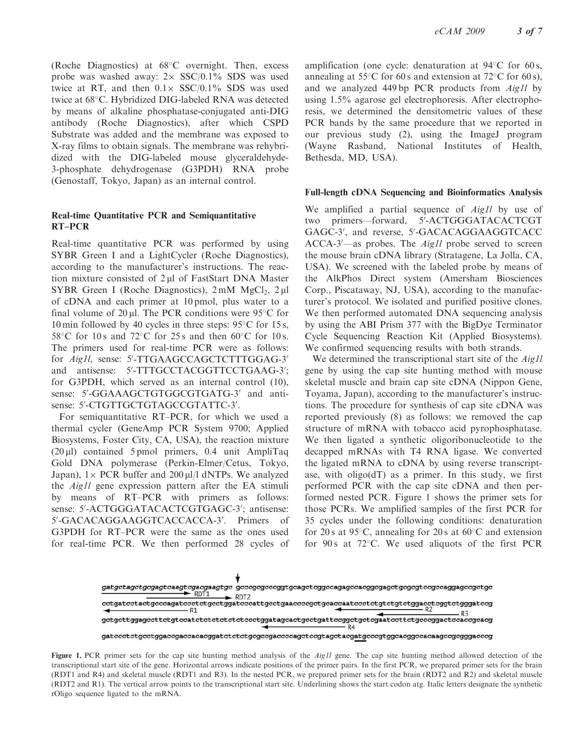(Roche Diagnostics) at 68°C overnight. Then, excess probe was washed away:  $2 \times$  SSC/0.1% SDS was used twice at RT, and then  $0.1 \times$  SSC/0.1% SDS was used twice at 68°C. Hybridized DIG-labeled RNA was detected by means of alkaline phosphatase-conjugated anti-DIG antibody (Roche Diagnostics), after which CSPD Substrate was added and the membrane was exposed to X-ray films to obtain signals. The membrane was rehybridized with the DIG-labeled mouse glyceraldehyde-3-phosphate dehydrogenase (G3PDH) RNA probe (Genostaff, Tokyo, Japan) as an internal control.

#### Real-time Quantitative PCR and Semiquantitative RT–PCR

Real-time quantitative PCR was performed by using SYBR Green I and a LightCycler (Roche Diagnostics), according to the manufacturer's instructions. The reaction mixture consisted of  $2 \mu l$  of FastStart DNA Master SYBR Green I (Roche Diagnostics),  $2 \text{ mM } MgCl<sub>2</sub>$ ,  $2 \mu l$ of cDNA and each primer at 10 pmol, plus water to a final volume of  $20 \mu$ . The PCR conditions were 95 $\degree$ C for 10 min followed by 40 cycles in three steps:  $95^{\circ}$ C for 15 s, 58°C for 10s and 72°C for 25s and then 60°C for 10s. The primers used for real-time PCR were as follows: for Aig1l, sense: 5'-TTGAAGCCAGCTCTTTGGAG-3' and antisense: 5'-TTTGCCTACGGTTCCTGAAG-3'; for G3PDH, which served as an internal control (10), sense: 5'-GGAAAGCTGTGGCGTGATG-3' and antisense: 5'-CTGTTGCTGTAGCCGTATTC-3'.

For semiquantitative RT–PCR, for which we used a thermal cycler (GeneAmp PCR System 9700; Applied Biosystems, Foster City, CA, USA), the reaction mixture  $(20 \mu l)$  contained 5 pmol primers, 0.4 unit AmpliTaq Gold DNA polymerase (Perkin-Elmer/Cetus, Tokyo, Japan),  $1 \times PCR$  buffer and  $200 \mu l/l$  dNTPs. We analyzed the Aig1l gene expression pattern after the EA stimuli by means of RT–PCR with primers as follows: sense: 5'-ACTGGGATACACTCGTGAGC-3'; antisense: 5'-GACACAGGAAGGTCACCACCA-3'. Primers of G3PDH for RT–PCR were the same as the ones used for real-time PCR. We then performed 28 cycles of

amplification (one cycle: denaturation at  $94^{\circ}$ C for 60 s, annealing at 55 $\degree$ C for 60 s and extension at 72 $\degree$ C for 60 s), and we analyzed 449 bp PCR products from Aig1l by using 1.5% agarose gel electrophoresis. After electrophoresis, we determined the densitometric values of these PCR bands by the same procedure that we reported in our previous study (2), using the ImageJ program (Wayne Rasband, National Institutes of Health, Bethesda, MD, USA).

#### Full-length cDNA Sequencing and Bioinformatics Analysis

We amplified a partial sequence of Aigll by use of two primers-forward, 5'-ACTGGGATACACTCGT GAGC-3', and reverse, 5'-GACACAGGAAGGTCACC ACCA-3'-as probes. The Aig1l probe served to screen the mouse brain cDNA library (Stratagene, La Jolla, CA, USA). We screened with the labeled probe by means of the AlkPhos Direct system (Amersham Biosciences Corp., Piscataway, NJ, USA), according to the manufacturer's protocol. We isolated and purified positive clones. We then performed automated DNA sequencing analysis by using the ABI Prism 377 with the BigDye Terminator Cycle Sequencing Reaction Kit (Applied Biosystems). We confirmed sequencing results with both strands.

We determined the transcriptional start site of the *Aig1l* gene by using the cap site hunting method with mouse skeletal muscle and brain cap site cDNA (Nippon Gene, Toyama, Japan), according to the manufacturer's instructions. The procedure for synthesis of cap site cDNA was reported previously (8) as follows: we removed the cap structure of mRNA with tobacco acid pyrophosphatase. We then ligated a synthetic oligoribonucleotide to the decapped mRNAs with T4 RNA ligase. We converted the ligated mRNA to cDNA by using reverse transcriptase, with oligo(dT) as a primer. In this study, we first performed PCR with the cap site cDNA and then performed nested PCR. Figure 1 shows the primer sets for those PCRs. We amplified samples of the first PCR for 35 cycles under the following conditions: denaturation for 20 s at 95 $\degree$ C, annealing for 20 s at 60 $\degree$ C and extension for  $90 s$  at  $72°C$ . We used aliquots of the first PCR



Figure 1. PCR primer sets for the cap site hunting method analysis of the *Aig1l* gene. The cap site hunting method allowed detection of the transcriptional start site of the gene. Horizontal arrows indicate positions of the primer pairs. In the first PCR, we prepared primer sets for the brain (RDT1 and R4) and skeletal muscle (RDT1 and R3). In the nested PCR, we prepared primer sets for the brain (RDT2 and R2) and skeletal muscle (RDT2 and R1). The vertical arrow points to the transcriptional start site. Underlining shows the start codon atg. Italic letters designate the synthetic rOligo sequence ligated to the mRNA.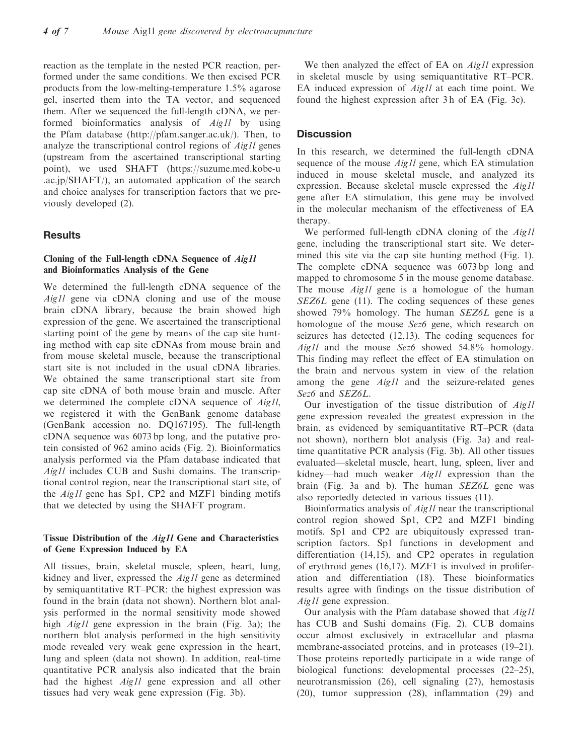reaction as the template in the nested PCR reaction, performed under the same conditions. We then excised PCR products from the low-melting-temperature 1.5% agarose gel, inserted them into the TA vector, and sequenced them. After we sequenced the full-length cDNA, we performed bioinformatics analysis of Aig1l by using the Pfam database [\(http://pfam.sanger.ac.uk](http://pfam.sanger.ac.uk/)/). Then, to analyze the transcriptional control regions of Aig1l genes (upstream from the ascertained transcriptional starting point), we used SHAFT [\(https://suzume.med.kobe-u](https://suzume.med.kobe-u) .ac.jp/SHAFT/), an automated application of the search and choice analyses for transcription factors that we previously developed (2).

## **Results**

## Cloning of the Full-length cDNA Sequence of Aig1l and Bioinformatics Analysis of the Gene

We determined the full-length cDNA sequence of the Aig1l gene via cDNA cloning and use of the mouse brain cDNA library, because the brain showed high expression of the gene. We ascertained the transcriptional starting point of the gene by means of the cap site hunting method with cap site cDNAs from mouse brain and from mouse skeletal muscle, because the transcriptional start site is not included in the usual cDNA libraries. We obtained the same transcriptional start site from cap site cDNA of both mouse brain and muscle. After we determined the complete cDNA sequence of *Aig1l*, we registered it with the GenBank genome database (GenBank accession no. DQ167195). The full-length cDNA sequence was 6073 bp long, and the putative protein consisted of 962 amino acids (Fig. 2). Bioinformatics analysis performed via the Pfam database indicated that Aig1l includes CUB and Sushi domains. The transcriptional control region, near the transcriptional start site, of the Aig1l gene has Sp1, CP2 and MZF1 binding motifs that we detected by using the SHAFT program.

#### Tissue Distribution of the Aig1l Gene and Characteristics of Gene Expression Induced by EA

All tissues, brain, skeletal muscle, spleen, heart, lung, kidney and liver, expressed the Aig1l gene as determined by semiquantitative RT–PCR: the highest expression was found in the brain (data not shown). Northern blot analysis performed in the normal sensitivity mode showed high Aig1l gene expression in the brain (Fig. 3a); the northern blot analysis performed in the high sensitivity mode revealed very weak gene expression in the heart, lung and spleen (data not shown). In addition, real-time quantitative PCR analysis also indicated that the brain had the highest Aig1l gene expression and all other tissues had very weak gene expression (Fig. 3b).

We then analyzed the effect of EA on *Aig1l* expression in skeletal muscle by using semiquantitative RT–PCR. EA induced expression of *Aig1l* at each time point. We found the highest expression after 3 h of EA (Fig. 3c).

### **Discussion**

In this research, we determined the full-length cDNA sequence of the mouse *Aig1l* gene, which EA stimulation induced in mouse skeletal muscle, and analyzed its expression. Because skeletal muscle expressed the Aig1l gene after EA stimulation, this gene may be involved in the molecular mechanism of the effectiveness of EA therapy.

We performed full-length cDNA cloning of the Aig1l gene, including the transcriptional start site. We determined this site via the cap site hunting method (Fig. 1). The complete cDNA sequence was 6073 bp long and mapped to chromosome 5 in the mouse genome database. The mouse *Aig1l* gene is a homologue of the human SEZ6L gene (11). The coding sequences of these genes showed 79% homology. The human SEZ6L gene is a homologue of the mouse Sez6 gene, which research on seizures has detected (12,13). The coding sequences for Aig1l and the mouse Sez6 showed 54.8% homology. This finding may reflect the effect of EA stimulation on the brain and nervous system in view of the relation among the gene *Aig1l* and the seizure-related genes Sez6 and SEZ6L.

Our investigation of the tissue distribution of Aig1l gene expression revealed the greatest expression in the brain, as evidenced by semiquantitative RT–PCR (data not shown), northern blot analysis (Fig. 3a) and realtime quantitative PCR analysis (Fig. 3b). All other tissues evaluated—skeletal muscle, heart, lung, spleen, liver and kidney—had much weaker Aig1l expression than the brain (Fig. 3a and b). The human SEZ6L gene was also reportedly detected in various tissues (11).

Bioinformatics analysis of Aig1l near the transcriptional control region showed Sp1, CP2 and MZF1 binding motifs. Sp1 and CP2 are ubiquitously expressed transcription factors. Sp1 functions in development and differentiation (14,15), and CP2 operates in regulation of erythroid genes (16,17). MZF1 is involved in proliferation and differentiation (18). These bioinformatics results agree with findings on the tissue distribution of Aig1l gene expression.

Our analysis with the Pfam database showed that Aig1l has CUB and Sushi domains (Fig. 2). CUB domains occur almost exclusively in extracellular and plasma membrane-associated proteins, and in proteases (19–21). Those proteins reportedly participate in a wide range of biological functions: developmental processes (22–25), neurotransmission (26), cell signaling (27), hemostasis (20), tumor suppression (28), inflammation (29) and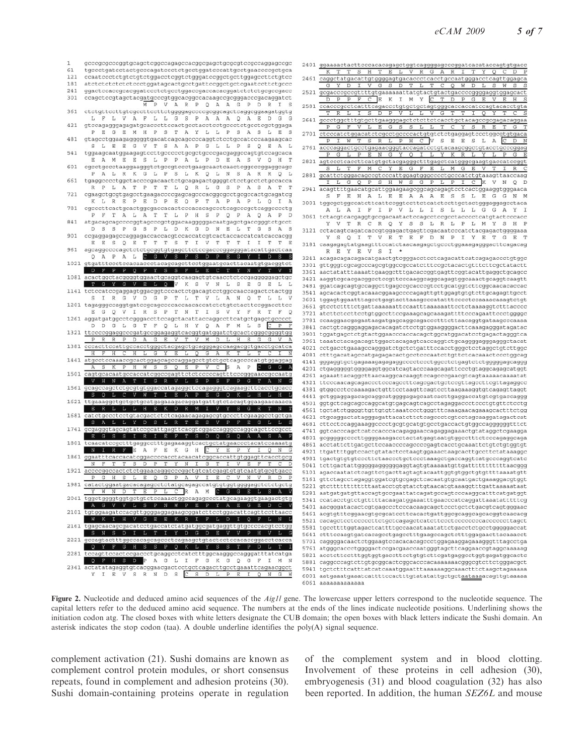

Figure 2. Nucleotide and deduced amino acid sequences of the *Aig1l* gene. The lowercase upper letters correspond to the nucleotide sequence. The capital letters refer to the deduced amino acid sequence. The numbers at the ends of the lines indicate nucleotide positions. Underlining shows the initiation codon atg. The closed boxes with white letters designate the CUB domain; the open boxes with black letters indicate the Sushi domain. An asterisk indicates the stop codon (taa). A double underline identifies the poly(A) signal sequence.

complement activation (21). Sushi domains are known as complement control protein modules, or short consensus repeats, found in complement and adhesion proteins (30). Sushi domain-containing proteins operate in regulation

of the complement system and in blood clotting. Involvement of these proteins in cell adhesion (30), embryogenesis (31) and blood coagulation (32) has also been reported. In addition, the human SEZ6L and mouse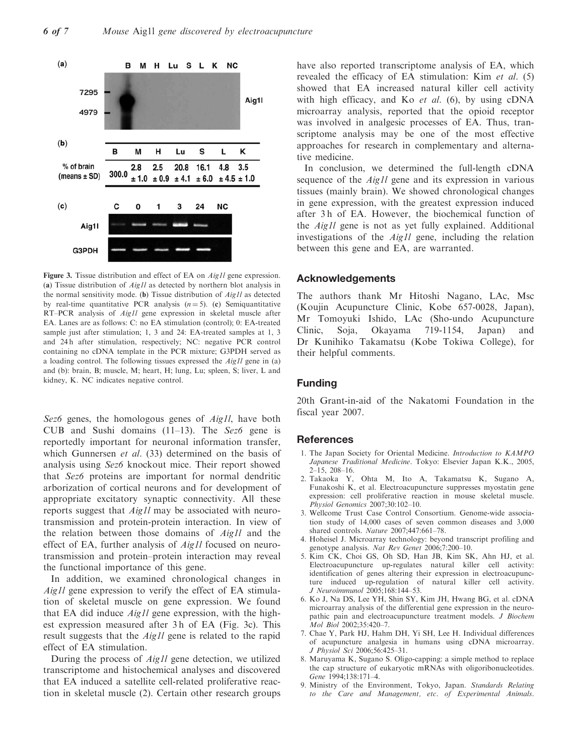

Figure 3. Tissue distribution and effect of EA on *Aig1l* gene expression. (a) Tissue distribution of  $Aig1l$  as detected by northern blot analysis in the normal sensitivity mode. (b) Tissue distribution of  $Aig1l$  as detected by real-time quantitative PCR analysis  $(n = 5)$ . (c) Semiquantitative RT–PCR analysis of *Aig1l* gene expression in skeletal muscle after EA. Lanes are as follows: C: no EA stimulation (control); 0: EA-treated sample just after stimulation; 1, 3 and 24: EA-treated samples at 1, 3 and 24h after stimulation, respectively; NC: negative PCR control containing no cDNA template in the PCR mixture; G3PDH served as a loading control. The following tissues expressed the Aig1l gene in (a) and (b): brain, B; muscle, M; heart, H; lung, Lu; spleen, S; liver, L and kidney, K. NC indicates negative control.

Sez6 genes, the homologous genes of *Aig1l*, have both CUB and Sushi domains  $(11-13)$ . The Sez6 gene is reportedly important for neuronal information transfer, which Gunnersen et al. (33) determined on the basis of analysis using Sez6 knockout mice. Their report showed that Sez6 proteins are important for normal dendritic arborization of cortical neurons and for development of appropriate excitatory synaptic connectivity. All these reports suggest that Aig1l may be associated with neurotransmission and protein-protein interaction. In view of the relation between those domains of Aig1l and the effect of EA, further analysis of *Aigll* focused on neurotransmission and protein–protein interaction may reveal the functional importance of this gene.

In addition, we examined chronological changes in Aig1l gene expression to verify the effect of EA stimulation of skeletal muscle on gene expression. We found that EA did induce  $Aig1l$  gene expression, with the highest expression measured after 3 h of EA (Fig. 3c). This result suggests that the *Aig1l* gene is related to the rapid effect of EA stimulation.

During the process of Aig1l gene detection, we utilized transcriptome and histochemical analyses and discovered that EA induced a satellite cell-related proliferative reaction in skeletal muscle (2). Certain other research groups have also reported transcriptome analysis of EA, which revealed the efficacy of EA stimulation: Kim et al. (5) showed that EA increased natural killer cell activity with high efficacy, and Ko *et al.* (6), by using  $cDNA$ microarray analysis, reported that the opioid receptor was involved in analgesic processes of EA. Thus, transcriptome analysis may be one of the most effective approaches for research in complementary and alternative medicine.

In conclusion, we determined the full-length cDNA sequence of the *Aig1l* gene and its expression in various tissues (mainly brain). We showed chronological changes in gene expression, with the greatest expression induced after 3 h of EA. However, the biochemical function of the Aig1l gene is not as yet fully explained. Additional investigations of the Aig1l gene, including the relation between this gene and EA, are warranted.

#### Acknowledgements

The authors thank Mr Hitoshi Nagano, LAc, Msc (Koujin Acupuncture Clinic, Kobe 657-0028, Japan), Mr Tomoyuki Ishido, LAc (Sho-undo Acupuncture Clinic, Soja, Okayama 719-1154, Japan) and Dr Kunihiko Takamatsu (Kobe Tokiwa College), for their helpful comments.

# Funding

20th Grant-in-aid of the Nakatomi Foundation in the fiscal year 2007.

#### References

- 1. The Japan Society for Oriental Medicine. Introduction to KAMPO Japanese Traditional Medicine. Tokyo: Elsevier Japan K.K., 2005, 2–15, 208–16.
- 2. Takaoka Y, Ohta M, Ito A, Takamatsu K, Sugano A, Funakoshi K, et al. Electroacupuncture suppresses myostatin gene expression: cell proliferative reaction in mouse skeletal muscle. Physiol Genomics 2007;30:102–10.
- 3. Wellcome Trust Case Control Consortium. Genome-wide association study of 14,000 cases of seven common diseases and 3,000 shared controls. Nature 2007;447:661–78.
- 4. Hoheisel J. Microarray technology: beyond transcript profiling and genotype analysis. Nat Rev Genet 2006;7:200-10.
- 5. Kim CK, Choi GS, Oh SD, Han JB, Kim SK, Ahn HJ, et al. Electroacupuncture up-regulates natural killer cell activity: identification of genes altering their expression in electroacupuncture induced up-regulation of natural killer cell activity. J Neuroimmunol 2005;168:144–53.
- 6. Ko J, Na DS, Lee YH, Shin SY, Kim JH, Hwang BG, et al. cDNA microarray analysis of the differential gene expression in the neuropathic pain and electroacupuncture treatment models. J Biochem Mol Biol 2002;35:420–7.
- 7. Chae Y, Park HJ, Hahm DH, Yi SH, Lee H. Individual differences of acupuncture analgesia in humans using cDNA microarray. J Physiol Sci 2006;56:425–31.
- 8. Maruyama K, Sugano S. Oligo-capping: a simple method to replace the cap structure of eukaryotic mRNAs with oligoribonucleotides. Gene 1994;138:171–4.
- 9. Ministry of the Environment, Tokyo, Japan. Standards Relating to the Care and Management, etc. of Experimental Animals.